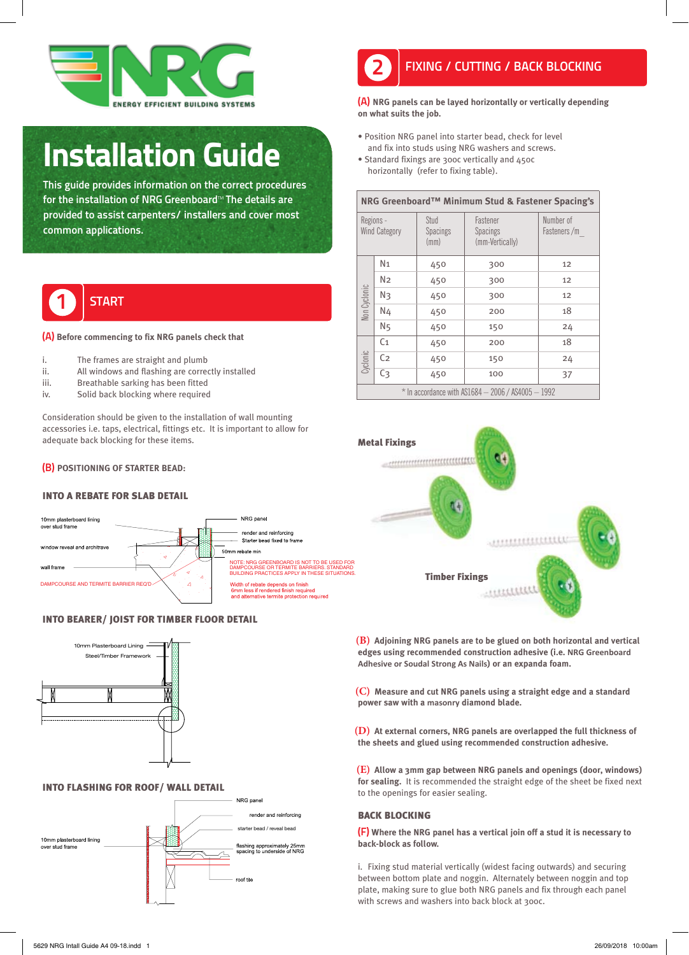

## Installation Guide

This guide provides information on the correct procedures for the installation of NRG Greenboard™ The details are provided to assist carpenters/ installers and cover most common applications.



#### (A) **Before commencing to fix NRG panels check that**

- i. The frames are straight and plumb
- ii. All windows and flashing are correctly installed
- iii. Breathable sarking has been fitted
- iv. Solid back blocking where required<br>
<u>N</u>

Consideration should be given to the installation of wall mounting accessories i.e. taps, electrical, fittings etc. It is important to allow for adequate back blocking for these items.

#### (B) **POSITIONING OF STARTER BEAD:**

#### INTO A REBATE FOR SLAB DETAIL



### **INTO BEARER/ JOIST FOR TIMBER FLOOR DETAIL**



#### **INTO FLASHING FOR ROOF/ WALL DETAIL**





(A) **NRG panels can be layed horizontally or vertically depending on what suits the job.**

- Position NRG panel into starter bead, check for level and fix into studs using NRG washers and screws.
- Standard fixings are 300c vertically and 450c horizontally (refer to fixing table).

| NRG Greenboard™ Minimum Stud & Fastener Spacing's    |                |                                 |                                                |                          |
|------------------------------------------------------|----------------|---------------------------------|------------------------------------------------|--------------------------|
| Regions -<br><b>Wind Category</b>                    |                | Stud<br><b>Spacings</b><br>(mm) | Fastener<br><b>Spacings</b><br>(mm-Vertically) | Number of<br>Fasteners/m |
| Non Cyclonic                                         | N <sub>1</sub> | 450                             | 300                                            | 12                       |
|                                                      | N2             | 450                             | 300                                            | 12                       |
|                                                      | Nз             | 450                             | 300                                            | 12                       |
|                                                      | N4             | 450                             | 200                                            | 18                       |
|                                                      | N <sub>5</sub> | 450                             | 150                                            | 24                       |
| Cyclonic                                             | C <sub>1</sub> | 450                             | 200                                            | 18                       |
|                                                      | C <sub>2</sub> | 450                             | 150                                            | 24                       |
|                                                      | C <sub>3</sub> | 450                             | 100                                            | 37                       |
| $*$ In accordance with AS1684 - 2006 / AS4005 - 1992 |                |                                 |                                                |                          |



**(B) Adjoining NRG panels are to be glued on both horizontal and vertical edges using recommended construction adhesive (i.e. NRG Greenboard Adhesive or Soudal Strong As Nails) or an expanda foam.**

**(C) Measure and cut NRG panels using a straight edge and a standard power saw with a masonry diamond blade.**

**(D) At external corners, NRG panels are overlapped the full thickness of the sheets and glued using recommended construction adhesive.**

**(E) Allow a 3mm gap between NRG panels and openings (door, windows) for sealing.** It is recommended the straight edge of the sheet be fixed next to the openings for easier sealing.

#### BACK BLOCKING

(F) **Where the NRG panel has a vertical join off a stud it is necessary to back-block as follow.**

i. Fixing stud material vertically (widest facing outwards) and securing between bottom plate and noggin. Alternately between noggin and top plate, making sure to glue both NRG panels and fix through each panel with screws and washers into back block at 300c.